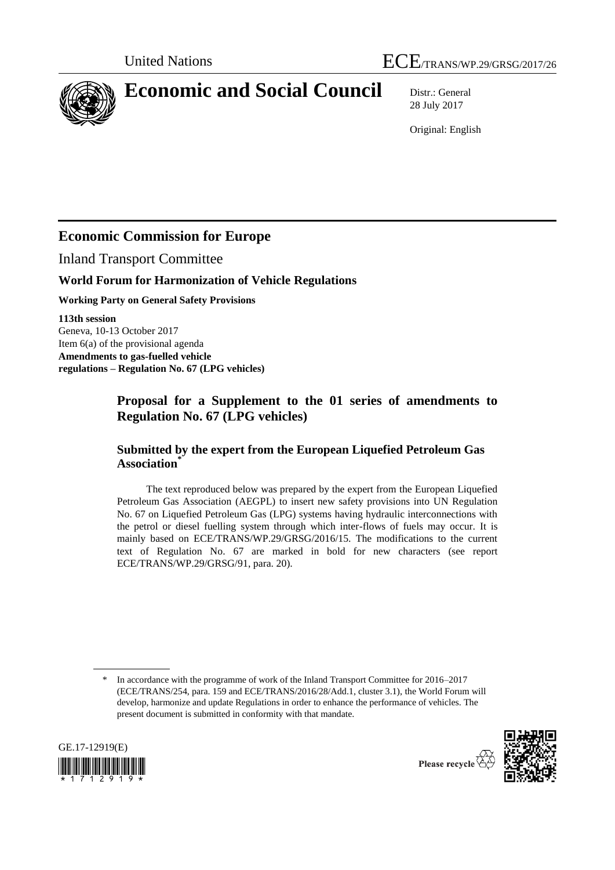



# **Economic and Social Council** Distr.: General

28 July 2017

Original: English

# **Economic Commission for Europe**

Inland Transport Committee

### **World Forum for Harmonization of Vehicle Regulations**

**Working Party on General Safety Provisions**

**113th session** Geneva, 10-13 October 2017 Item 6(a) of the provisional agenda **Amendments to gas-fuelled vehicle regulations – Regulation No. 67 (LPG vehicles)**

# **Proposal for a Supplement to the 01 series of amendments to Regulation No. 67 (LPG vehicles)**

### **Submitted by the expert from the European Liquefied Petroleum Gas Association\***

The text reproduced below was prepared by the expert from the European Liquefied Petroleum Gas Association (AEGPL) to insert new safety provisions into UN Regulation No. 67 on Liquefied Petroleum Gas (LPG) systems having hydraulic interconnections with the petrol or diesel fuelling system through which inter-flows of fuels may occur. It is mainly based on ECE/TRANS/WP.29/GRSG/2016/15. The modifications to the current text of Regulation No. 67 are marked in bold for new characters (see report ECE/TRANS/WP.29/GRSG/91, para. 20).

In accordance with the programme of work of the Inland Transport Committee for 2016–2017 (ECE/TRANS/254, para. 159 and ECE/TRANS/2016/28/Add.1, cluster 3.1), the World Forum will develop, harmonize and update Regulations in order to enhance the performance of vehicles. The present document is submitted in conformity with that mandate.



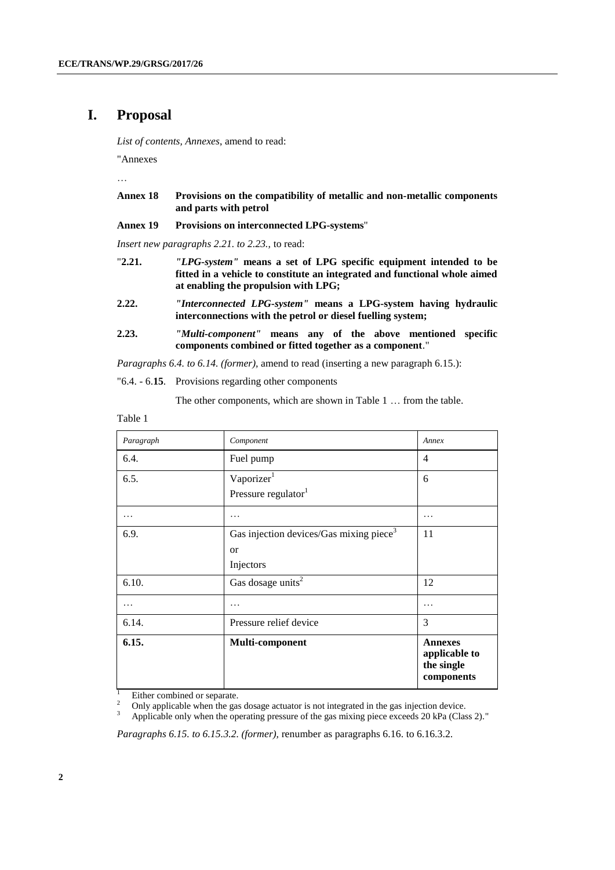## **I. Proposal**

*List of contents, Annexes*, amend to read:

"Annexes

…

- **Annex 18 Provisions on the compatibility of metallic and non-metallic components and parts with petrol**
- **Annex 19 Provisions on interconnected LPG-systems**"

*Insert new paragraphs 2.21. to 2.23.,* to read:

- "**2.21.** *"LPG-system"* **means a set of LPG specific equipment intended to be fitted in a vehicle to constitute an integrated and functional whole aimed at enabling the propulsion with LPG;**
- **2.22.** *"Interconnected LPG-system"* **means a LPG-system having hydraulic interconnections with the petrol or diesel fuelling system;**
- **2.23.** *"Multi-component"* **means any of the above mentioned specific components combined or fitted together as a component**."

*Paragraphs 6.4. to 6.14. (former),* amend to read (inserting a new paragraph 6.15.):

"6.4. - 6.**15**. Provisions regarding other components

The other components, which are shown in Table 1 … from the table.

Table 1

| Paragraph | Component                                           | Annex                                                       |
|-----------|-----------------------------------------------------|-------------------------------------------------------------|
| 6.4.      | Fuel pump                                           | $\overline{4}$                                              |
| 6.5.      | Vaporizer <sup>1</sup>                              | 6                                                           |
|           | Pressure regulator <sup>1</sup>                     |                                                             |
| .         | .                                                   | .                                                           |
| 6.9.      | Gas injection devices/Gas mixing piece <sup>3</sup> | 11                                                          |
|           | <sub>or</sub>                                       |                                                             |
|           | Injectors                                           |                                                             |
| 6.10.     | Gas dosage units <sup>2</sup>                       | 12                                                          |
| .         | .                                                   | .                                                           |
| 6.14.     | Pressure relief device                              | 3                                                           |
| 6.15.     | Multi-component                                     | <b>Annexes</b><br>applicable to<br>the single<br>components |

 $\frac{1}{2}$  Either combined or separate.

<sup>2</sup> Only applicable when the gas dosage actuator is not integrated in the gas injection device.<br><sup>3</sup> Applicable only when the operating pressure of the gas mixing piece avecade 20 kPe (Clear)

Applicable only when the operating pressure of the gas mixing piece exceeds 20 kPa (Class 2)."

*Paragraphs 6.15. to 6.15.3.2. (former),* renumber as paragraphs 6.16. to 6.16.3.2.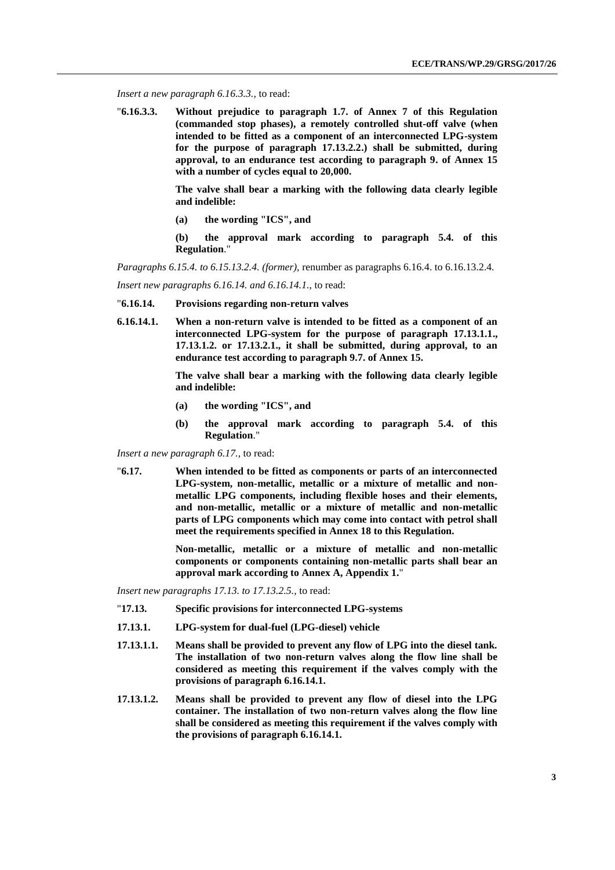*Insert a new paragraph 6.16.3.3.,* to read:

"**6.16.3.3. Without prejudice to paragraph 1.7. of Annex 7 of this Regulation (commanded stop phases), a remotely controlled shut-off valve (when intended to be fitted as a component of an interconnected LPG-system for the purpose of paragraph 17.13.2.2.) shall be submitted, during approval, to an endurance test according to paragraph 9. of Annex 15 with a number of cycles equal to 20,000.**

> **The valve shall bear a marking with the following data clearly legible and indelible:**

**(a) the wording "ICS", and**

**(b) the approval mark according to paragraph 5.4. of this Regulation**."

*Paragraphs 6.15.4. to 6.15.13.2.4. (former),* renumber as paragraphs 6.16.4. to 6.16.13.2.4.

*Insert new paragraphs 6.16.14. and 6.16.14.1.*, to read:

- "**6.16.14. Provisions regarding non-return valves**
- **6.16.14.1. When a non-return valve is intended to be fitted as a component of an interconnected LPG-system for the purpose of paragraph 17.13.1.1., 17.13.1.2. or 17.13.2.1., it shall be submitted, during approval, to an endurance test according to paragraph 9.7. of Annex 15.**

**The valve shall bear a marking with the following data clearly legible and indelible:**

- **(a) the wording "ICS", and**
- **(b) the approval mark according to paragraph 5.4. of this Regulation**."

*Insert a new paragraph 6.17.,* to read:

"**6.17. When intended to be fitted as components or parts of an interconnected LPG-system, non-metallic, metallic or a mixture of metallic and nonmetallic LPG components, including flexible hoses and their elements, and non-metallic, metallic or a mixture of metallic and non-metallic parts of LPG components which may come into contact with petrol shall meet the requirements specified in Annex 18 to this Regulation.**

> **Non-metallic, metallic or a mixture of metallic and non-metallic components or components containing non-metallic parts shall bear an approval mark according to Annex A, Appendix 1.**"

*Insert new paragraphs 17.13. to 17.13.2.5.,* to read:

- "**17.13. Specific provisions for interconnected LPG-systems**
- **17.13.1. LPG-system for dual-fuel (LPG-diesel) vehicle**
- **17.13.1.1. Means shall be provided to prevent any flow of LPG into the diesel tank. The installation of two non-return valves along the flow line shall be considered as meeting this requirement if the valves comply with the provisions of paragraph 6.16.14.1.**
- **17.13.1.2. Means shall be provided to prevent any flow of diesel into the LPG container. The installation of two non-return valves along the flow line shall be considered as meeting this requirement if the valves comply with the provisions of paragraph 6.16.14.1.**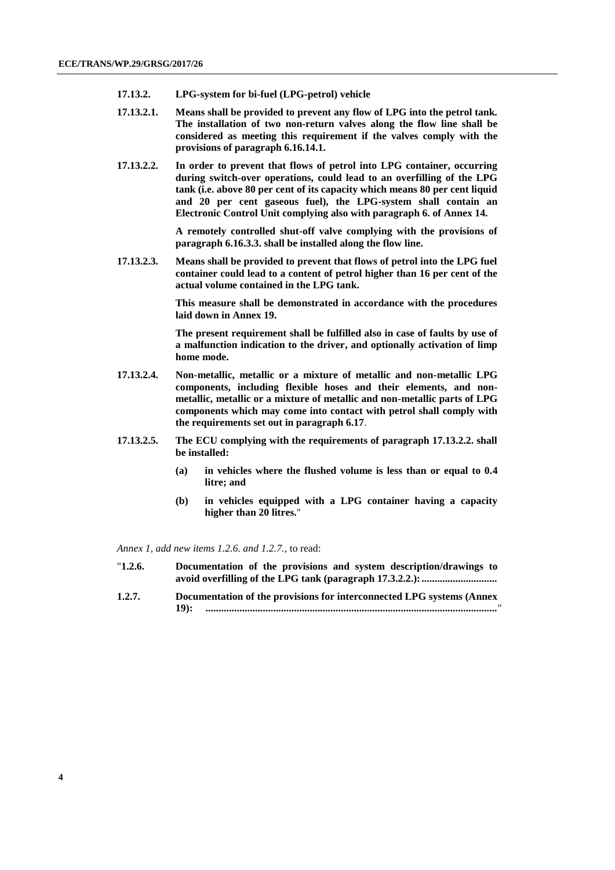- **17.13.2. LPG-system for bi-fuel (LPG-petrol) vehicle**
- **17.13.2.1. Means shall be provided to prevent any flow of LPG into the petrol tank. The installation of two non-return valves along the flow line shall be considered as meeting this requirement if the valves comply with the provisions of paragraph 6.16.14.1.**
- **17.13.2.2. In order to prevent that flows of petrol into LPG container, occurring during switch-over operations, could lead to an overfilling of the LPG tank (i.e. above 80 per cent of its capacity which means 80 per cent liquid and 20 per cent gaseous fuel), the LPG-system shall contain an Electronic Control Unit complying also with paragraph 6. of Annex 14.**

**A remotely controlled shut-off valve complying with the provisions of paragraph 6.16.3.3. shall be installed along the flow line.**

**17.13.2.3. Means shall be provided to prevent that flows of petrol into the LPG fuel container could lead to a content of petrol higher than 16 per cent of the actual volume contained in the LPG tank.**

> **This measure shall be demonstrated in accordance with the procedures laid down in Annex 19.**

> **The present requirement shall be fulfilled also in case of faults by use of a malfunction indication to the driver, and optionally activation of limp home mode.**

- **17.13.2.4. Non-metallic, metallic or a mixture of metallic and non-metallic LPG components, including flexible hoses and their elements, and nonmetallic, metallic or a mixture of metallic and non-metallic parts of LPG components which may come into contact with petrol shall comply with the requirements set out in paragraph 6.17**.
- **17.13.2.5. The ECU complying with the requirements of paragraph 17.13.2.2. shall be installed:**
	- **(a) in vehicles where the flushed volume is less than or equal to 0.4 litre; and**
	- **(b) in vehicles equipped with a LPG container having a capacity higher than 20 litres.**"

*Annex 1, add new items 1.2.6. and 1.2.7.,* to read:

- "**1.2.6. Documentation of the provisions and system description/drawings to avoid overfilling of the LPG tank (paragraph 17.3.2.2.):.............................**
- **1.2.7. Documentation of the provisions for interconnected LPG systems (Annex 19): ................................................................................................................**"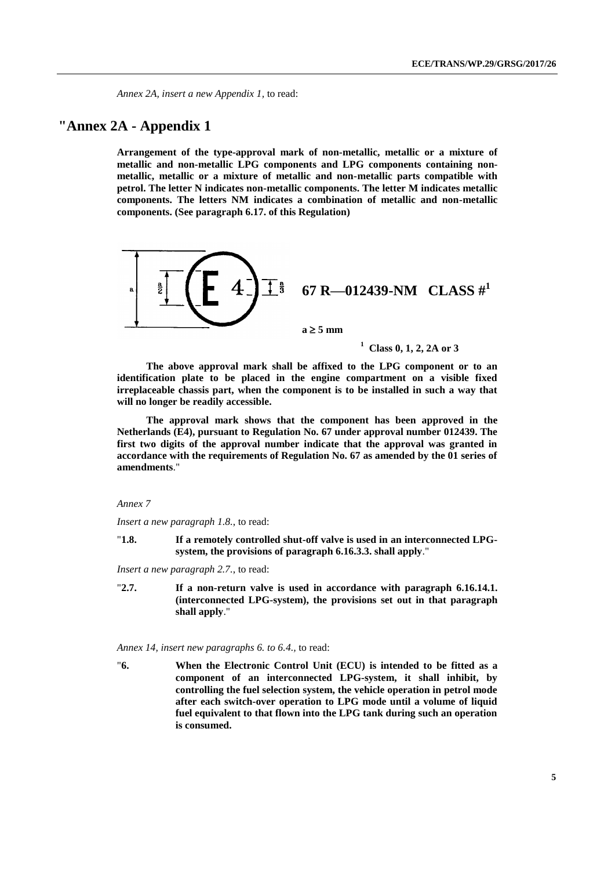*Annex 2A, insert a new Appendix 1,* to read:

### **"Annex 2A - Appendix 1**

**Arrangement of the type-approval mark of non-metallic, metallic or a mixture of metallic and non-metallic LPG components and LPG components containing nonmetallic, metallic or a mixture of metallic and non-metallic parts compatible with petrol. The letter N indicates non-metallic components. The letter M indicates metallic components. The letters NM indicates a combination of metallic and non-metallic components. (See paragraph 6.17. of this Regulation)**



**1 Class 0, 1, 2, 2A or 3**

**The above approval mark shall be affixed to the LPG component or to an identification plate to be placed in the engine compartment on a visible fixed irreplaceable chassis part, when the component is to be installed in such a way that will no longer be readily accessible.**

**The approval mark shows that the component has been approved in the Netherlands (E4), pursuant to Regulation No. 67 under approval number 012439. The first two digits of the approval number indicate that the approval was granted in accordance with the requirements of Regulation No. 67 as amended by the 01 series of amendments**."

#### *Annex 7*

*Insert a new paragraph 1.8.*, to read:

"**1.8. If a remotely controlled shut-off valve is used in an interconnected LPGsystem, the provisions of paragraph 6.16.3.3. shall apply**."

*Insert a new paragraph 2.7.*, to read:

"**2.7. If a non-return valve is used in accordance with paragraph 6.16.14.1. (interconnected LPG-system), the provisions set out in that paragraph shall apply**."

#### *Annex 14, insert new paragraphs 6. to 6.4.,* to read:

"**6. When the Electronic Control Unit (ECU) is intended to be fitted as a component of an interconnected LPG-system, it shall inhibit, by controlling the fuel selection system, the vehicle operation in petrol mode after each switch-over operation to LPG mode until a volume of liquid fuel equivalent to that flown into the LPG tank during such an operation is consumed.**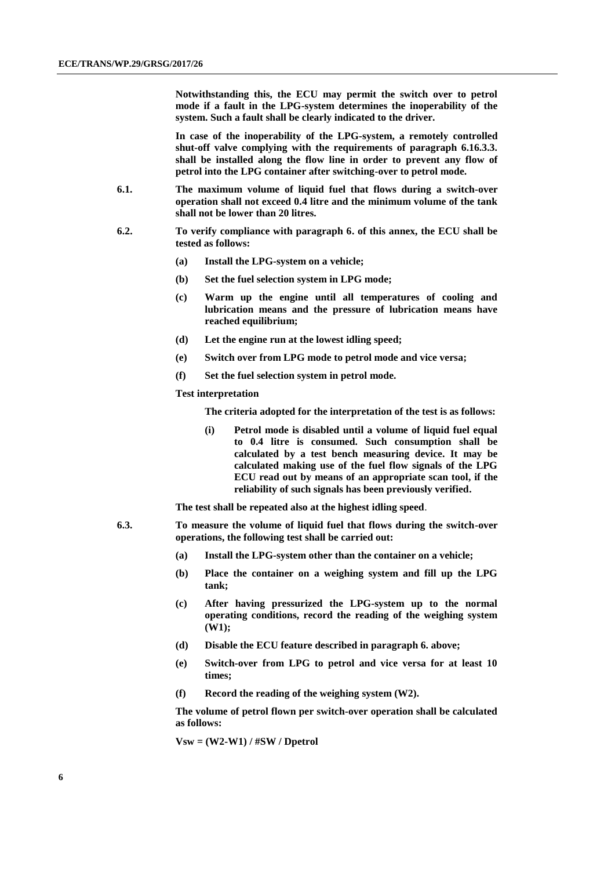**Notwithstanding this, the ECU may permit the switch over to petrol mode if a fault in the LPG-system determines the inoperability of the system. Such a fault shall be clearly indicated to the driver.**

**In case of the inoperability of the LPG-system, a remotely controlled shut-off valve complying with the requirements of paragraph 6.16.3.3. shall be installed along the flow line in order to prevent any flow of petrol into the LPG container after switching-over to petrol mode.**

- **6.1. The maximum volume of liquid fuel that flows during a switch-over operation shall not exceed 0.4 litre and the minimum volume of the tank shall not be lower than 20 litres.**
- **6.2. To verify compliance with paragraph 6. of this annex, the ECU shall be tested as follows:**
	- **(a) Install the LPG-system on a vehicle;**
	- **(b) Set the fuel selection system in LPG mode;**
	- **(c) Warm up the engine until all temperatures of cooling and lubrication means and the pressure of lubrication means have reached equilibrium;**
	- **(d) Let the engine run at the lowest idling speed;**
	- **(e) Switch over from LPG mode to petrol mode and vice versa;**
	- **(f) Set the fuel selection system in petrol mode.**

#### **Test interpretation**

**The criteria adopted for the interpretation of the test is as follows:**

**(i) Petrol mode is disabled until a volume of liquid fuel equal to 0.4 litre is consumed. Such consumption shall be calculated by a test bench measuring device. It may be calculated making use of the fuel flow signals of the LPG ECU read out by means of an appropriate scan tool, if the reliability of such signals has been previously verified.**

**The test shall be repeated also at the highest idling speed**.

- **6.3. To measure the volume of liquid fuel that flows during the switch-over operations, the following test shall be carried out:**
	- **(a) Install the LPG-system other than the container on a vehicle;**
	- **(b) Place the container on a weighing system and fill up the LPG tank;**
	- **(c) After having pressurized the LPG-system up to the normal operating conditions, record the reading of the weighing system (W1);**
	- **(d) Disable the ECU feature described in paragraph 6. above;**
	- **(e) Switch-over from LPG to petrol and vice versa for at least 10 times;**
	- **(f) Record the reading of the weighing system (W2).**

**The volume of petrol flown per switch-over operation shall be calculated as follows:**

**Vsw = (W2-W1) / #SW / Dpetrol**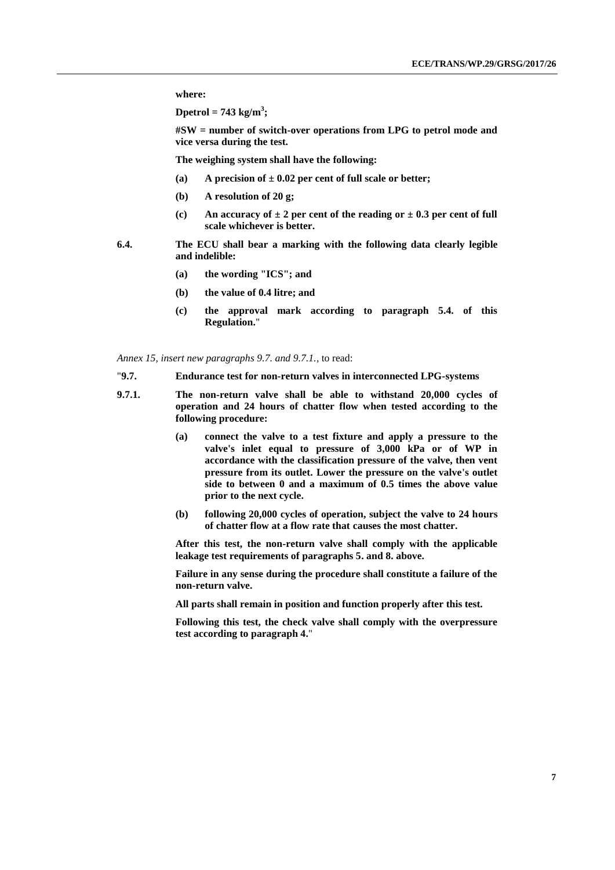**where:**

**Dpetrol = 743 kg/m<sup>3</sup> ;**

**#SW = number of switch-over operations from LPG to petrol mode and vice versa during the test.**

**The weighing system shall have the following:**

- **(a) A precision of ± 0.02 per cent of full scale or better;**
- **(b) A resolution of 20 g;**
- **(c) An accuracy of ± 2 per cent of the reading or ± 0.3 per cent of full scale whichever is better.**
- **6.4. The ECU shall bear a marking with the following data clearly legible and indelible:**
	- **(a) the wording "ICS"; and**
	- **(b) the value of 0.4 litre; and**
	- **(c) the approval mark according to paragraph 5.4. of this Regulation.**"

*Annex 15, insert new paragraphs 9.7. and 9.7.1.,* to read:

- "**9.7. Endurance test for non-return valves in interconnected LPG-systems**
- **9.7.1. The non-return valve shall be able to withstand 20,000 cycles of operation and 24 hours of chatter flow when tested according to the following procedure:**
	- **(a) connect the valve to a test fixture and apply a pressure to the valve's inlet equal to pressure of 3,000 kPa or of WP in accordance with the classification pressure of the valve, then vent pressure from its outlet. Lower the pressure on the valve's outlet side to between 0 and a maximum of 0.5 times the above value prior to the next cycle.**
	- **(b) following 20,000 cycles of operation, subject the valve to 24 hours of chatter flow at a flow rate that causes the most chatter.**

**After this test, the non-return valve shall comply with the applicable leakage test requirements of paragraphs 5. and 8. above.**

**Failure in any sense during the procedure shall constitute a failure of the non-return valve.** 

**All parts shall remain in position and function properly after this test.**

**Following this test, the check valve shall comply with the overpressure test according to paragraph 4.**"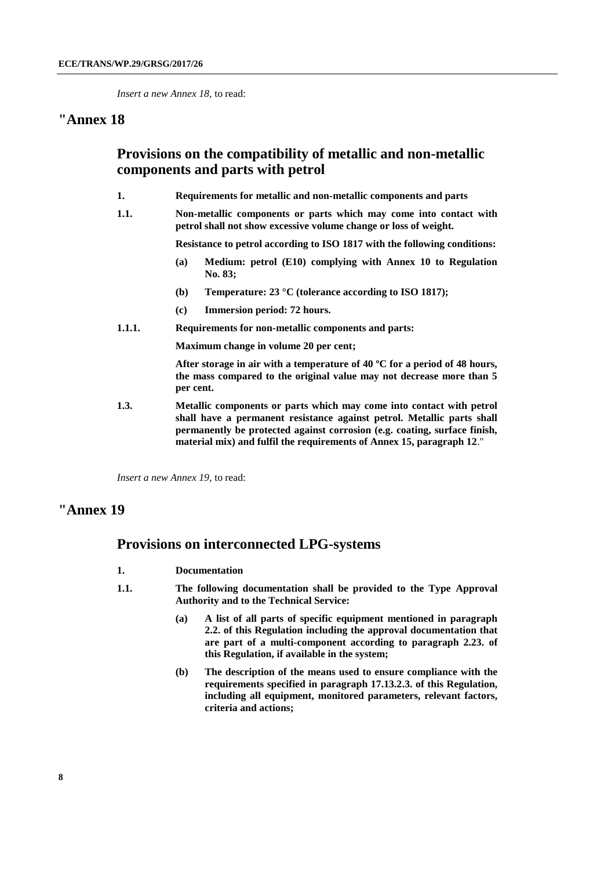*Insert a new Annex 18,* to read:

### **"Annex 18**

# **Provisions on the compatibility of metallic and non-metallic components and parts with petrol**

- **1. Requirements for metallic and non-metallic components and parts**
- **1.1. Non-metallic components or parts which may come into contact with petrol shall not show excessive volume change or loss of weight.**

**Resistance to petrol according to ISO 1817 with the following conditions:**

- **(a) Medium: petrol (E10) complying with Annex 10 to Regulation No. 83;**
- **(b) Temperature: 23 °C (tolerance according to ISO 1817);**
- **(c) Immersion period: 72 hours.**
- **1.1.1. Requirements for non-metallic components and parts:**

**Maximum change in volume 20 per cent;**

**After storage in air with a temperature of 40 ºC for a period of 48 hours, the mass compared to the original value may not decrease more than 5 per cent.**

**1.3. Metallic components or parts which may come into contact with petrol shall have a permanent resistance against petrol. Metallic parts shall permanently be protected against corrosion (e.g. coating, surface finish, material mix) and fulfil the requirements of Annex 15, paragraph 12**."

*Insert a new Annex 19,* to read:

## **"Annex 19**

### **Provisions on interconnected LPG-systems**

- **1. Documentation**
- **1.1. The following documentation shall be provided to the Type Approval Authority and to the Technical Service:**
	- **(a) A list of all parts of specific equipment mentioned in paragraph 2.2. of this Regulation including the approval documentation that are part of a multi-component according to paragraph 2.23. of this Regulation, if available in the system;**
	- **(b) The description of the means used to ensure compliance with the requirements specified in paragraph 17.13.2.3. of this Regulation, including all equipment, monitored parameters, relevant factors, criteria and actions;**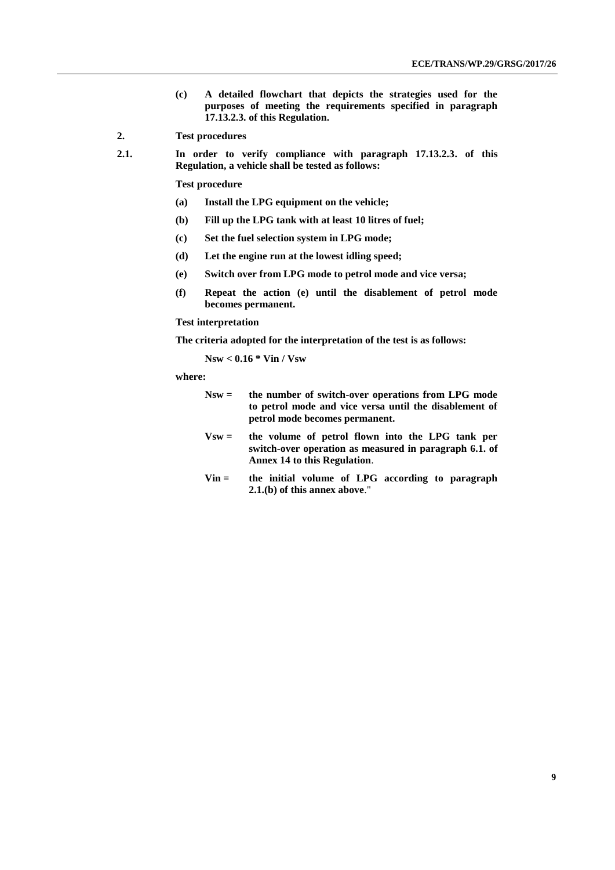- **(c) A detailed flowchart that depicts the strategies used for the purposes of meeting the requirements specified in paragraph 17.13.2.3. of this Regulation.**
- **2. Test procedures**
- **2.1. In order to verify compliance with paragraph 17.13.2.3. of this Regulation, a vehicle shall be tested as follows:**

**Test procedure**

- **(a) Install the LPG equipment on the vehicle;**
- **(b) Fill up the LPG tank with at least 10 litres of fuel;**
- **(c) Set the fuel selection system in LPG mode;**
- **(d) Let the engine run at the lowest idling speed;**
- **(e) Switch over from LPG mode to petrol mode and vice versa;**
- **(f) Repeat the action (e) until the disablement of petrol mode becomes permanent.**

#### **Test interpretation**

**The criteria adopted for the interpretation of the test is as follows:**

**Nsw < 0.16 \* Vin / Vsw**

#### **where:**

- **Nsw = the number of switch-over operations from LPG mode to petrol mode and vice versa until the disablement of petrol mode becomes permanent.**
- **Vsw = the volume of petrol flown into the LPG tank per switch-over operation as measured in paragraph 6.1. of Annex 14 to this Regulation**.
- **Vin = the initial volume of LPG according to paragraph 2.1.(b) of this annex above**."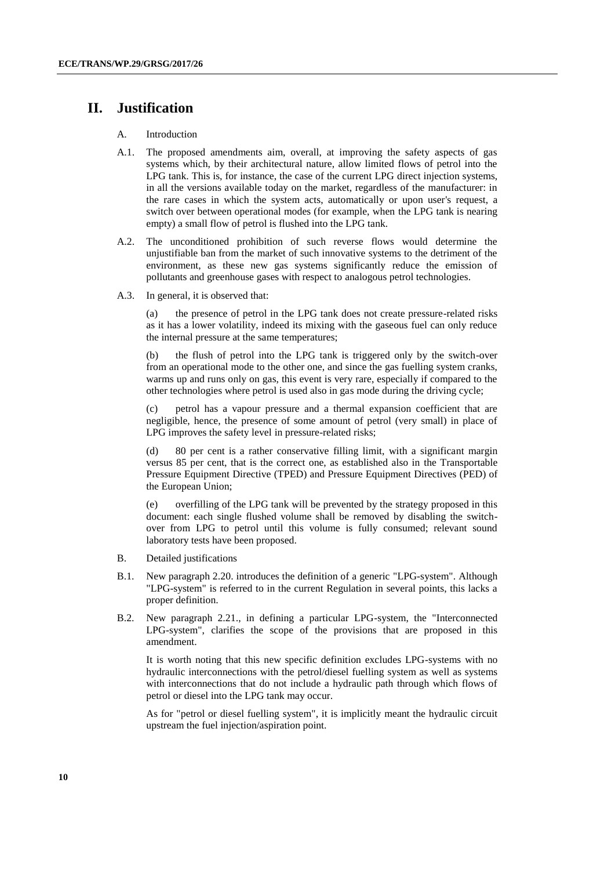# **II. Justification**

#### A. Introduction

- A.1. The proposed amendments aim, overall, at improving the safety aspects of gas systems which, by their architectural nature, allow limited flows of petrol into the LPG tank. This is, for instance, the case of the current LPG direct injection systems, in all the versions available today on the market, regardless of the manufacturer: in the rare cases in which the system acts, automatically or upon user's request, a switch over between operational modes (for example, when the LPG tank is nearing empty) a small flow of petrol is flushed into the LPG tank.
- A.2. The unconditioned prohibition of such reverse flows would determine the unjustifiable ban from the market of such innovative systems to the detriment of the environment, as these new gas systems significantly reduce the emission of pollutants and greenhouse gases with respect to analogous petrol technologies.
- A.3. In general, it is observed that:

(a) the presence of petrol in the LPG tank does not create pressure-related risks as it has a lower volatility, indeed its mixing with the gaseous fuel can only reduce the internal pressure at the same temperatures;

(b) the flush of petrol into the LPG tank is triggered only by the switch-over from an operational mode to the other one, and since the gas fuelling system cranks, warms up and runs only on gas, this event is very rare, especially if compared to the other technologies where petrol is used also in gas mode during the driving cycle;

(c) petrol has a vapour pressure and a thermal expansion coefficient that are negligible, hence, the presence of some amount of petrol (very small) in place of LPG improves the safety level in pressure-related risks;

(d) 80 per cent is a rather conservative filling limit, with a significant margin versus 85 per cent, that is the correct one, as established also in the Transportable Pressure Equipment Directive (TPED) and Pressure Equipment Directives (PED) of the European Union;

(e) overfilling of the LPG tank will be prevented by the strategy proposed in this document: each single flushed volume shall be removed by disabling the switchover from LPG to petrol until this volume is fully consumed; relevant sound laboratory tests have been proposed.

- B. Detailed justifications
- B.1. New paragraph 2.20. introduces the definition of a generic "LPG-system". Although "LPG-system" is referred to in the current Regulation in several points, this lacks a proper definition.
- B.2. New paragraph 2.21., in defining a particular LPG-system, the "Interconnected LPG-system", clarifies the scope of the provisions that are proposed in this amendment.

It is worth noting that this new specific definition excludes LPG-systems with no hydraulic interconnections with the petrol/diesel fuelling system as well as systems with interconnections that do not include a hydraulic path through which flows of petrol or diesel into the LPG tank may occur.

As for "petrol or diesel fuelling system", it is implicitly meant the hydraulic circuit upstream the fuel injection/aspiration point.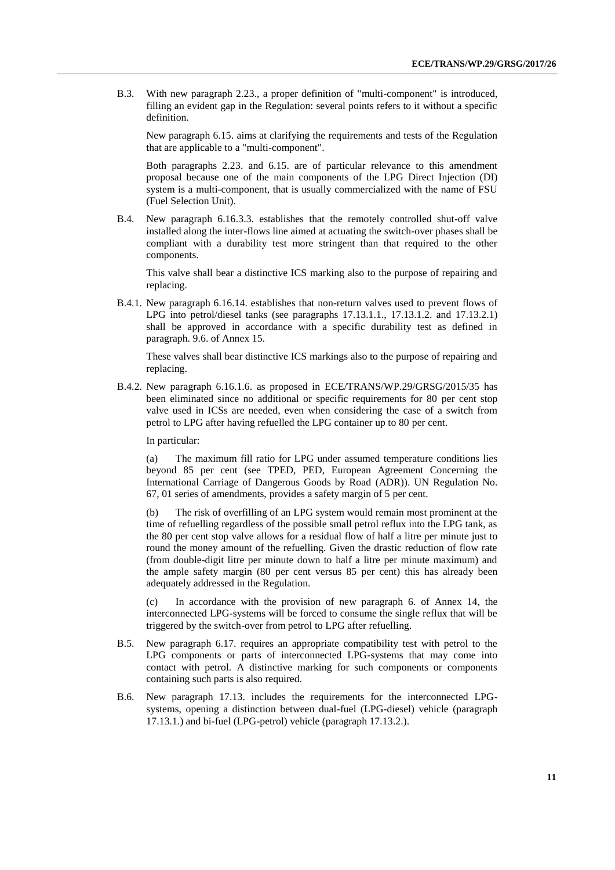B.3. With new paragraph 2.23., a proper definition of "multi-component" is introduced, filling an evident gap in the Regulation: several points refers to it without a specific definition.

New paragraph 6.15. aims at clarifying the requirements and tests of the Regulation that are applicable to a "multi-component".

Both paragraphs 2.23. and 6.15. are of particular relevance to this amendment proposal because one of the main components of the LPG Direct Injection (DI) system is a multi-component, that is usually commercialized with the name of FSU (Fuel Selection Unit).

B.4. New paragraph 6.16.3.3. establishes that the remotely controlled shut-off valve installed along the inter-flows line aimed at actuating the switch-over phases shall be compliant with a durability test more stringent than that required to the other components.

This valve shall bear a distinctive ICS marking also to the purpose of repairing and replacing.

B.4.1. New paragraph 6.16.14. establishes that non-return valves used to prevent flows of LPG into petrol/diesel tanks (see paragraphs 17.13.1.1., 17.13.1.2. and 17.13.2.1) shall be approved in accordance with a specific durability test as defined in paragraph. 9.6. of Annex 15.

These valves shall bear distinctive ICS markings also to the purpose of repairing and replacing.

B.4.2. New paragraph 6.16.1.6. as proposed in ECE/TRANS/WP.29/GRSG/2015/35 has been eliminated since no additional or specific requirements for 80 per cent stop valve used in ICSs are needed, even when considering the case of a switch from petrol to LPG after having refuelled the LPG container up to 80 per cent.

In particular:

(a) The maximum fill ratio for LPG under assumed temperature conditions lies beyond 85 per cent (see TPED, PED, European Agreement Concerning the International Carriage of Dangerous Goods by Road (ADR)). UN Regulation No. 67, 01 series of amendments, provides a safety margin of 5 per cent.

(b) The risk of overfilling of an LPG system would remain most prominent at the time of refuelling regardless of the possible small petrol reflux into the LPG tank, as the 80 per cent stop valve allows for a residual flow of half a litre per minute just to round the money amount of the refuelling. Given the drastic reduction of flow rate (from double-digit litre per minute down to half a litre per minute maximum) and the ample safety margin (80 per cent versus 85 per cent) this has already been adequately addressed in the Regulation.

(c) In accordance with the provision of new paragraph 6. of Annex 14, the interconnected LPG-systems will be forced to consume the single reflux that will be triggered by the switch-over from petrol to LPG after refuelling.

- B.5. New paragraph 6.17. requires an appropriate compatibility test with petrol to the LPG components or parts of interconnected LPG-systems that may come into contact with petrol. A distinctive marking for such components or components containing such parts is also required.
- B.6. New paragraph 17.13. includes the requirements for the interconnected LPGsystems, opening a distinction between dual-fuel (LPG-diesel) vehicle (paragraph 17.13.1.) and bi-fuel (LPG-petrol) vehicle (paragraph 17.13.2.).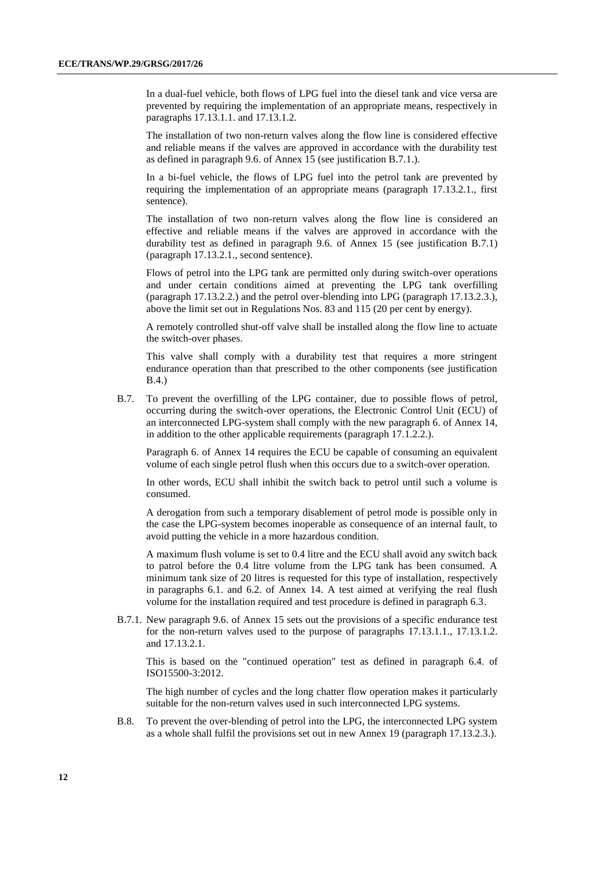In a dual-fuel vehicle, both flows of LPG fuel into the diesel tank and vice versa are prevented by requiring the implementation of an appropriate means, respectively in paragraphs 17.13.1.1. and 17.13.1.2.

The installation of two non-return valves along the flow line is considered effective and reliable means if the valves are approved in accordance with the durability test as defined in paragraph 9.6. of Annex 15 (see justification B.7.1.).

In a bi-fuel vehicle, the flows of LPG fuel into the petrol tank are prevented by requiring the implementation of an appropriate means (paragraph 17.13.2.1., first sentence).

The installation of two non-return valves along the flow line is considered an effective and reliable means if the valves are approved in accordance with the durability test as defined in paragraph 9.6. of Annex 15 (see justification B.7.1) (paragraph 17.13.2.1., second sentence).

Flows of petrol into the LPG tank are permitted only during switch-over operations and under certain conditions aimed at preventing the LPG tank overfilling (paragraph 17.13.2.2.) and the petrol over-blending into LPG (paragraph 17.13.2.3.), above the limit set out in Regulations Nos. 83 and 115 (20 per cent by energy).

A remotely controlled shut-off valve shall be installed along the flow line to actuate the switch-over phases.

This valve shall comply with a durability test that requires a more stringent endurance operation than that prescribed to the other components (see justification B.4.)

B.7. To prevent the overfilling of the LPG container, due to possible flows of petrol, occurring during the switch-over operations, the Electronic Control Unit (ECU) of an interconnected LPG-system shall comply with the new paragraph 6. of Annex 14, in addition to the other applicable requirements (paragraph 17.1.2.2.).

Paragraph 6. of Annex 14 requires the ECU be capable of consuming an equivalent volume of each single petrol flush when this occurs due to a switch-over operation.

In other words, ECU shall inhibit the switch back to petrol until such a volume is consumed.

A derogation from such a temporary disablement of petrol mode is possible only in the case the LPG-system becomes inoperable as consequence of an internal fault, to avoid putting the vehicle in a more hazardous condition.

A maximum flush volume is set to 0.4 litre and the ECU shall avoid any switch back to patrol before the 0.4 litre volume from the LPG tank has been consumed. A minimum tank size of 20 litres is requested for this type of installation, respectively in paragraphs 6.1. and 6.2. of Annex 14. A test aimed at verifying the real flush volume for the installation required and test procedure is defined in paragraph 6.3.

B.7.1. New paragraph 9.6. of Annex 15 sets out the provisions of a specific endurance test for the non-return valves used to the purpose of paragraphs 17.13.1.1., 17.13.1.2. and 17.13.2.1.

This is based on the "continued operation" test as defined in paragraph 6.4. of ISO15500-3:2012.

The high number of cycles and the long chatter flow operation makes it particularly suitable for the non-return valves used in such interconnected LPG systems.

B.8. To prevent the over-blending of petrol into the LPG, the interconnected LPG system as a whole shall fulfil the provisions set out in new Annex 19 (paragraph 17.13.2.3.).